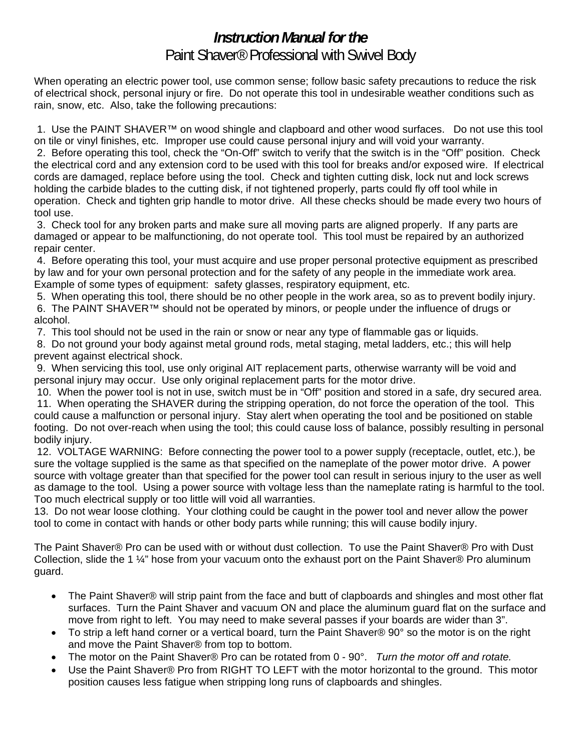# *Instruction Manual for the*  Paint Shaver® Professional with Swivel Body

When operating an electric power tool, use common sense; follow basic safety precautions to reduce the risk of electrical shock, personal injury or fire. Do not operate this tool in undesirable weather conditions such as rain, snow, etc. Also, take the following precautions:

 1. Use the PAINT SHAVER™ on wood shingle and clapboard and other wood surfaces. Do not use this tool on tile or vinyl finishes, etc. Improper use could cause personal injury and will void your warranty.

 2. Before operating this tool, check the "On-Off" switch to verify that the switch is in the "Off" position. Check the electrical cord and any extension cord to be used with this tool for breaks and/or exposed wire. If electrical cords are damaged, replace before using the tool. Check and tighten cutting disk, lock nut and lock screws holding the carbide blades to the cutting disk, if not tightened properly, parts could fly off tool while in operation. Check and tighten grip handle to motor drive. All these checks should be made every two hours of tool use.

 3. Check tool for any broken parts and make sure all moving parts are aligned properly. If any parts are damaged or appear to be malfunctioning, do not operate tool. This tool must be repaired by an authorized repair center.

 4. Before operating this tool, your must acquire and use proper personal protective equipment as prescribed by law and for your own personal protection and for the safety of any people in the immediate work area. Example of some types of equipment: safety glasses, respiratory equipment, etc.

 5. When operating this tool, there should be no other people in the work area, so as to prevent bodily injury. 6. The PAINT SHAVER™ should not be operated by minors, or people under the influence of drugs or alcohol.

7. This tool should not be used in the rain or snow or near any type of flammable gas or liquids.

 8. Do not ground your body against metal ground rods, metal staging, metal ladders, etc.; this will help prevent against electrical shock.

 9. When servicing this tool, use only original AIT replacement parts, otherwise warranty will be void and personal injury may occur. Use only original replacement parts for the motor drive.

 10. When the power tool is not in use, switch must be in "Off" position and stored in a safe, dry secured area. 11. When operating the SHAVER during the stripping operation, do not force the operation of the tool. This could cause a malfunction or personal injury. Stay alert when operating the tool and be positioned on stable footing. Do not over-reach when using the tool; this could cause loss of balance, possibly resulting in personal bodily injury.

 12. VOLTAGE WARNING: Before connecting the power tool to a power supply (receptacle, outlet, etc.), be sure the voltage supplied is the same as that specified on the nameplate of the power motor drive. A power source with voltage greater than that specified for the power tool can result in serious injury to the user as well as damage to the tool. Using a power source with voltage less than the nameplate rating is harmful to the tool. Too much electrical supply or too little will void all warranties.

13. Do not wear loose clothing. Your clothing could be caught in the power tool and never allow the power tool to come in contact with hands or other body parts while running; this will cause bodily injury.

The Paint Shaver® Pro can be used with or without dust collection. To use the Paint Shaver® Pro with Dust Collection, slide the 1 ¼" hose from your vacuum onto the exhaust port on the Paint Shaver® Pro aluminum guard.

- The Paint Shaver® will strip paint from the face and butt of clapboards and shingles and most other flat surfaces. Turn the Paint Shaver and vacuum ON and place the aluminum guard flat on the surface and move from right to left. You may need to make several passes if your boards are wider than 3".
- To strip a left hand corner or a vertical board, turn the Paint Shaver® 90° so the motor is on the right and move the Paint Shaver® from top to bottom.
- The motor on the Paint Shaver® Pro can be rotated from 0 90°. *Turn the motor off and rotate.*
- Use the Paint Shaver® Pro from RIGHT TO LEFT with the motor horizontal to the ground. This motor position causes less fatigue when stripping long runs of clapboards and shingles.